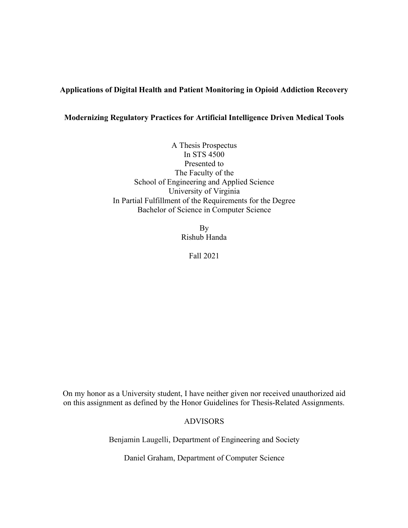# **Applications of Digital Health and Patient Monitoring in Opioid Addiction Recovery**

## **Modernizing Regulatory Practices for Artificial Intelligence Driven Medical Tools**

A Thesis Prospectus In STS 4500 Presented to The Faculty of the School of Engineering and Applied Science University of Virginia In Partial Fulfillment of the Requirements for the Degree Bachelor of Science in Computer Science

> By Rishub Handa

> > Fall 2021

On my honor as a University student, I have neither given nor received unauthorized aid on this assignment as defined by the Honor Guidelines for Thesis-Related Assignments.

### ADVISORS

Benjamin Laugelli, Department of Engineering and Society

Daniel Graham, Department of Computer Science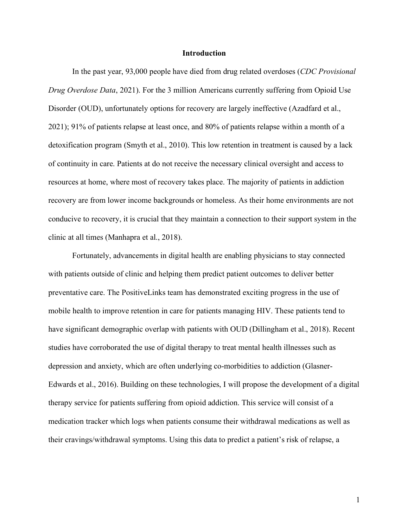#### **Introduction**

In the past year, 93,000 people have died from drug related overdoses (*CDC Provisional Drug Overdose Data*, 2021). For the 3 million Americans currently suffering from Opioid Use Disorder (OUD), unfortunately options for recovery are largely ineffective (Azadfard et al., 2021); 91% of patients relapse at least once, and 80% of patients relapse within a month of a detoxification program (Smyth et al., 2010). This low retention in treatment is caused by a lack of continuity in care. Patients at do not receive the necessary clinical oversight and access to resources at home, where most of recovery takes place. The majority of patients in addiction recovery are from lower income backgrounds or homeless. As their home environments are not conducive to recovery, it is crucial that they maintain a connection to their support system in the clinic at all times (Manhapra et al., 2018).

Fortunately, advancements in digital health are enabling physicians to stay connected with patients outside of clinic and helping them predict patient outcomes to deliver better preventative care. The PositiveLinks team has demonstrated exciting progress in the use of mobile health to improve retention in care for patients managing HIV. These patients tend to have significant demographic overlap with patients with OUD (Dillingham et al., 2018). Recent studies have corroborated the use of digital therapy to treat mental health illnesses such as depression and anxiety, which are often underlying co-morbidities to addiction (Glasner-Edwards et al., 2016). Building on these technologies, I will propose the development of a digital therapy service for patients suffering from opioid addiction. This service will consist of a medication tracker which logs when patients consume their withdrawal medications as well as their cravings/withdrawal symptoms. Using this data to predict a patient's risk of relapse, a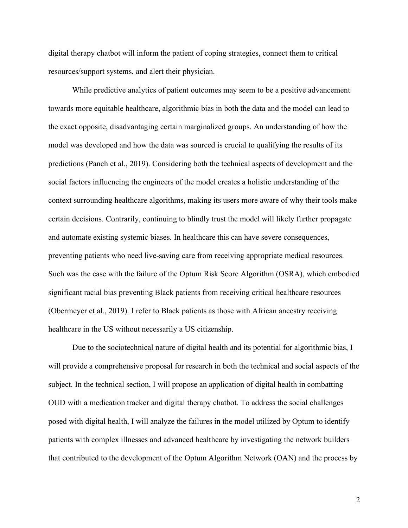digital therapy chatbot will inform the patient of coping strategies, connect them to critical resources/support systems, and alert their physician.

While predictive analytics of patient outcomes may seem to be a positive advancement towards more equitable healthcare, algorithmic bias in both the data and the model can lead to the exact opposite, disadvantaging certain marginalized groups. An understanding of how the model was developed and how the data was sourced is crucial to qualifying the results of its predictions (Panch et al., 2019). Considering both the technical aspects of development and the social factors influencing the engineers of the model creates a holistic understanding of the context surrounding healthcare algorithms, making its users more aware of why their tools make certain decisions. Contrarily, continuing to blindly trust the model will likely further propagate and automate existing systemic biases. In healthcare this can have severe consequences, preventing patients who need live-saving care from receiving appropriate medical resources. Such was the case with the failure of the Optum Risk Score Algorithm (OSRA), which embodied significant racial bias preventing Black patients from receiving critical healthcare resources (Obermeyer et al., 2019). I refer to Black patients as those with African ancestry receiving healthcare in the US without necessarily a US citizenship.

Due to the sociotechnical nature of digital health and its potential for algorithmic bias, I will provide a comprehensive proposal for research in both the technical and social aspects of the subject. In the technical section, I will propose an application of digital health in combatting OUD with a medication tracker and digital therapy chatbot. To address the social challenges posed with digital health, I will analyze the failures in the model utilized by Optum to identify patients with complex illnesses and advanced healthcare by investigating the network builders that contributed to the development of the Optum Algorithm Network (OAN) and the process by

2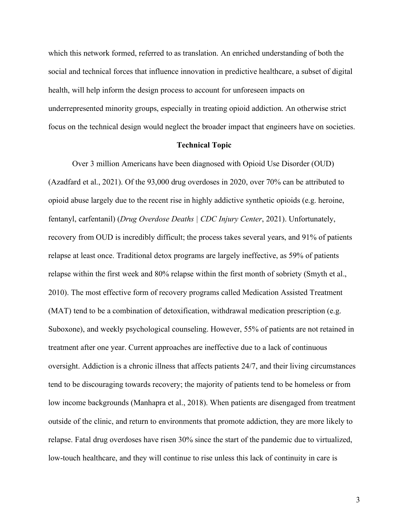which this network formed, referred to as translation. An enriched understanding of both the social and technical forces that influence innovation in predictive healthcare, a subset of digital health, will help inform the design process to account for unforeseen impacts on underrepresented minority groups, especially in treating opioid addiction. An otherwise strict focus on the technical design would neglect the broader impact that engineers have on societies.

#### **Technical Topic**

Over 3 million Americans have been diagnosed with Opioid Use Disorder (OUD) (Azadfard et al., 2021). Of the 93,000 drug overdoses in 2020, over 70% can be attributed to opioid abuse largely due to the recent rise in highly addictive synthetic opioids (e.g. heroine, fentanyl, carfentanil) (*Drug Overdose Deaths | CDC Injury Center*, 2021). Unfortunately, recovery from OUD is incredibly difficult; the process takes several years, and 91% of patients relapse at least once. Traditional detox programs are largely ineffective, as 59% of patients relapse within the first week and 80% relapse within the first month of sobriety (Smyth et al., 2010). The most effective form of recovery programs called Medication Assisted Treatment (MAT) tend to be a combination of detoxification, withdrawal medication prescription (e.g. Suboxone), and weekly psychological counseling. However, 55% of patients are not retained in treatment after one year. Current approaches are ineffective due to a lack of continuous oversight. Addiction is a chronic illness that affects patients 24/7, and their living circumstances tend to be discouraging towards recovery; the majority of patients tend to be homeless or from low income backgrounds (Manhapra et al., 2018). When patients are disengaged from treatment outside of the clinic, and return to environments that promote addiction, they are more likely to relapse. Fatal drug overdoses have risen 30% since the start of the pandemic due to virtualized, low-touch healthcare, and they will continue to rise unless this lack of continuity in care is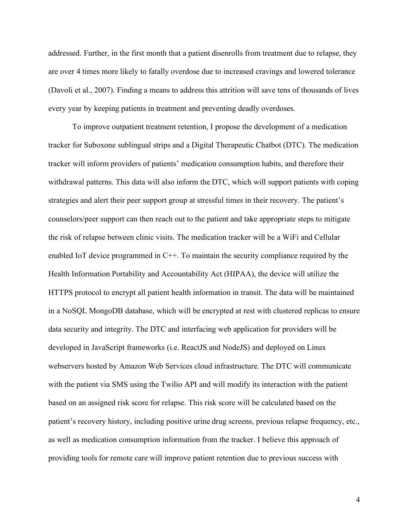addressed. Further, in the first month that a patient disenrolls from treatment due to relapse, they are over 4 times more likely to fatally overdose due to increased cravings and lowered tolerance (Davoli et al., 2007). Finding a means to address this attrition will save tens of thousands of lives every year by keeping patients in treatment and preventing deadly overdoses.

To improve outpatient treatment retention, I propose the development of a medication tracker for Suboxone sublingual strips and a Digital Therapeutic Chatbot (DTC). The medication tracker will inform providers of patients' medication consumption habits, and therefore their withdrawal patterns. This data will also inform the DTC, which will support patients with coping strategies and alert their peer support group at stressful times in their recovery. The patient's counselors/peer support can then reach out to the patient and take appropriate steps to mitigate the risk of relapse between clinic visits. The medication tracker will be a WiFi and Cellular enabled IoT device programmed in C++. To maintain the security compliance required by the Health Information Portability and Accountability Act (HIPAA), the device will utilize the HTTPS protocol to encrypt all patient health information in transit. The data will be maintained in a NoSQL MongoDB database, which will be encrypted at rest with clustered replicas to ensure data security and integrity. The DTC and interfacing web application for providers will be developed in JavaScript frameworks (i.e. ReactJS and NodeJS) and deployed on Linux webservers hosted by Amazon Web Services cloud infrastructure. The DTC will communicate with the patient via SMS using the Twilio API and will modify its interaction with the patient based on an assigned risk score for relapse. This risk score will be calculated based on the patient's recovery history, including positive urine drug screens, previous relapse frequency, etc., as well as medication consumption information from the tracker. I believe this approach of providing tools for remote care will improve patient retention due to previous success with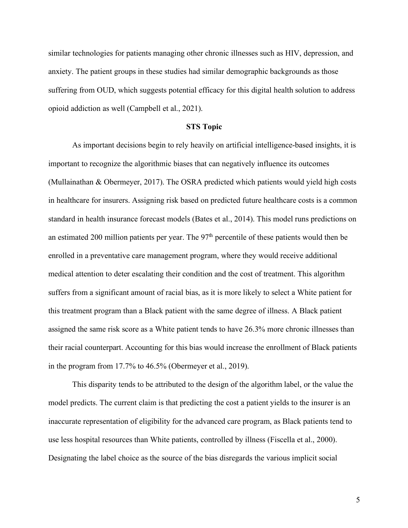similar technologies for patients managing other chronic illnesses such as HIV, depression, and anxiety. The patient groups in these studies had similar demographic backgrounds as those suffering from OUD, which suggests potential efficacy for this digital health solution to address opioid addiction as well (Campbell et al., 2021).

#### **STS Topic**

As important decisions begin to rely heavily on artificial intelligence-based insights, it is important to recognize the algorithmic biases that can negatively influence its outcomes (Mullainathan & Obermeyer, 2017). The OSRA predicted which patients would yield high costs in healthcare for insurers. Assigning risk based on predicted future healthcare costs is a common standard in health insurance forecast models (Bates et al., 2014). This model runs predictions on an estimated 200 million patients per year. The  $97<sup>th</sup>$  percentile of these patients would then be enrolled in a preventative care management program, where they would receive additional medical attention to deter escalating their condition and the cost of treatment. This algorithm suffers from a significant amount of racial bias, as it is more likely to select a White patient for this treatment program than a Black patient with the same degree of illness. A Black patient assigned the same risk score as a White patient tends to have 26.3% more chronic illnesses than their racial counterpart. Accounting for this bias would increase the enrollment of Black patients in the program from 17.7% to 46.5% (Obermeyer et al., 2019).

This disparity tends to be attributed to the design of the algorithm label, or the value the model predicts. The current claim is that predicting the cost a patient yields to the insurer is an inaccurate representation of eligibility for the advanced care program, as Black patients tend to use less hospital resources than White patients, controlled by illness (Fiscella et al., 2000). Designating the label choice as the source of the bias disregards the various implicit social

5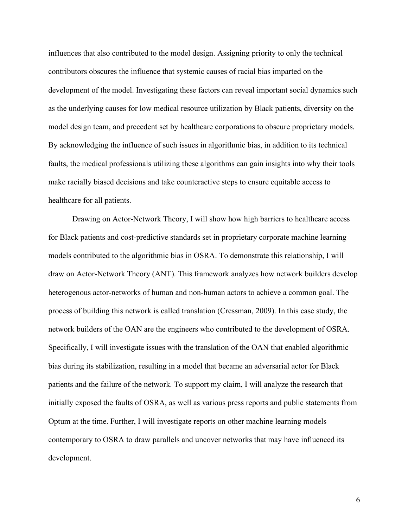influences that also contributed to the model design. Assigning priority to only the technical contributors obscures the influence that systemic causes of racial bias imparted on the development of the model. Investigating these factors can reveal important social dynamics such as the underlying causes for low medical resource utilization by Black patients, diversity on the model design team, and precedent set by healthcare corporations to obscure proprietary models. By acknowledging the influence of such issues in algorithmic bias, in addition to its technical faults, the medical professionals utilizing these algorithms can gain insights into why their tools make racially biased decisions and take counteractive steps to ensure equitable access to healthcare for all patients.

Drawing on Actor-Network Theory, I will show how high barriers to healthcare access for Black patients and cost-predictive standards set in proprietary corporate machine learning models contributed to the algorithmic bias in OSRA. To demonstrate this relationship, I will draw on Actor-Network Theory (ANT). This framework analyzes how network builders develop heterogenous actor-networks of human and non-human actors to achieve a common goal. The process of building this network is called translation (Cressman, 2009). In this case study, the network builders of the OAN are the engineers who contributed to the development of OSRA. Specifically, I will investigate issues with the translation of the OAN that enabled algorithmic bias during its stabilization, resulting in a model that became an adversarial actor for Black patients and the failure of the network. To support my claim, I will analyze the research that initially exposed the faults of OSRA, as well as various press reports and public statements from Optum at the time. Further, I will investigate reports on other machine learning models contemporary to OSRA to draw parallels and uncover networks that may have influenced its development.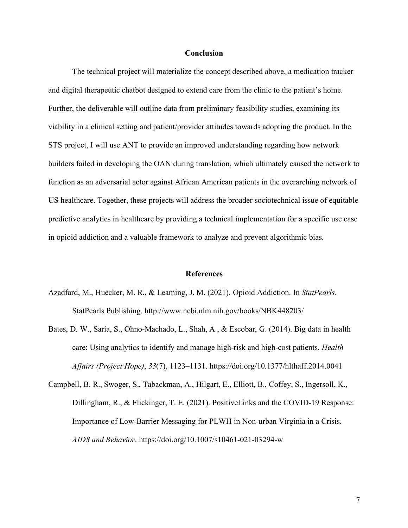#### **Conclusion**

The technical project will materialize the concept described above, a medication tracker and digital therapeutic chatbot designed to extend care from the clinic to the patient's home. Further, the deliverable will outline data from preliminary feasibility studies, examining its viability in a clinical setting and patient/provider attitudes towards adopting the product. In the STS project, I will use ANT to provide an improved understanding regarding how network builders failed in developing the OAN during translation, which ultimately caused the network to function as an adversarial actor against African American patients in the overarching network of US healthcare. Together, these projects will address the broader sociotechnical issue of equitable predictive analytics in healthcare by providing a technical implementation for a specific use case in opioid addiction and a valuable framework to analyze and prevent algorithmic bias.

#### **References**

- Azadfard, M., Huecker, M. R., & Leaming, J. M. (2021). Opioid Addiction. In *StatPearls*. StatPearls Publishing. http://www.ncbi.nlm.nih.gov/books/NBK448203/
- Bates, D. W., Saria, S., Ohno-Machado, L., Shah, A., & Escobar, G. (2014). Big data in health care: Using analytics to identify and manage high-risk and high-cost patients. *Health Affairs (Project Hope)*, *33*(7), 1123–1131. https://doi.org/10.1377/hlthaff.2014.0041
- Campbell, B. R., Swoger, S., Tabackman, A., Hilgart, E., Elliott, B., Coffey, S., Ingersoll, K., Dillingham, R., & Flickinger, T. E. (2021). PositiveLinks and the COVID-19 Response: Importance of Low-Barrier Messaging for PLWH in Non-urban Virginia in a Crisis. *AIDS and Behavior*. https://doi.org/10.1007/s10461-021-03294-w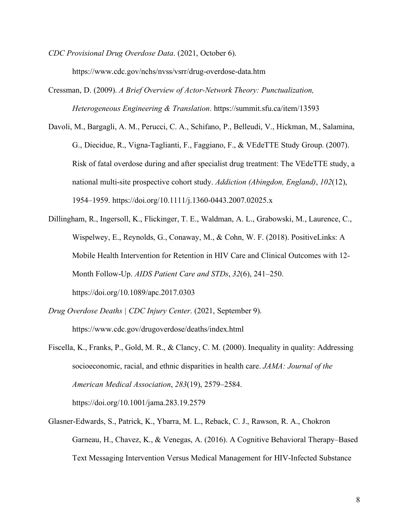- *CDC Provisional Drug Overdose Data*. (2021, October 6). https://www.cdc.gov/nchs/nvss/vsrr/drug-overdose-data.htm
- Cressman, D. (2009). *A Brief Overview of Actor-Network Theory: Punctualization, Heterogeneous Engineering & Translation*. https://summit.sfu.ca/item/13593
- Davoli, M., Bargagli, A. M., Perucci, C. A., Schifano, P., Belleudi, V., Hickman, M., Salamina, G., Diecidue, R., Vigna-Taglianti, F., Faggiano, F., & VEdeTTE Study Group. (2007). Risk of fatal overdose during and after specialist drug treatment: The VEdeTTE study, a national multi-site prospective cohort study. *Addiction (Abingdon, England)*, *102*(12), 1954–1959. https://doi.org/10.1111/j.1360-0443.2007.02025.x
- Dillingham, R., Ingersoll, K., Flickinger, T. E., Waldman, A. L., Grabowski, M., Laurence, C., Wispelwey, E., Reynolds, G., Conaway, M., & Cohn, W. F. (2018). PositiveLinks: A Mobile Health Intervention for Retention in HIV Care and Clinical Outcomes with 12- Month Follow-Up. *AIDS Patient Care and STDs*, *32*(6), 241–250. https://doi.org/10.1089/apc.2017.0303
- *Drug Overdose Deaths | CDC Injury Center*. (2021, September 9). https://www.cdc.gov/drugoverdose/deaths/index.html
- Fiscella, K., Franks, P., Gold, M. R., & Clancy, C. M. (2000). Inequality in quality: Addressing socioeconomic, racial, and ethnic disparities in health care. *JAMA: Journal of the American Medical Association*, *283*(19), 2579–2584. https://doi.org/10.1001/jama.283.19.2579
- Glasner-Edwards, S., Patrick, K., Ybarra, M. L., Reback, C. J., Rawson, R. A., Chokron Garneau, H., Chavez, K., & Venegas, A. (2016). A Cognitive Behavioral Therapy–Based Text Messaging Intervention Versus Medical Management for HIV-Infected Substance